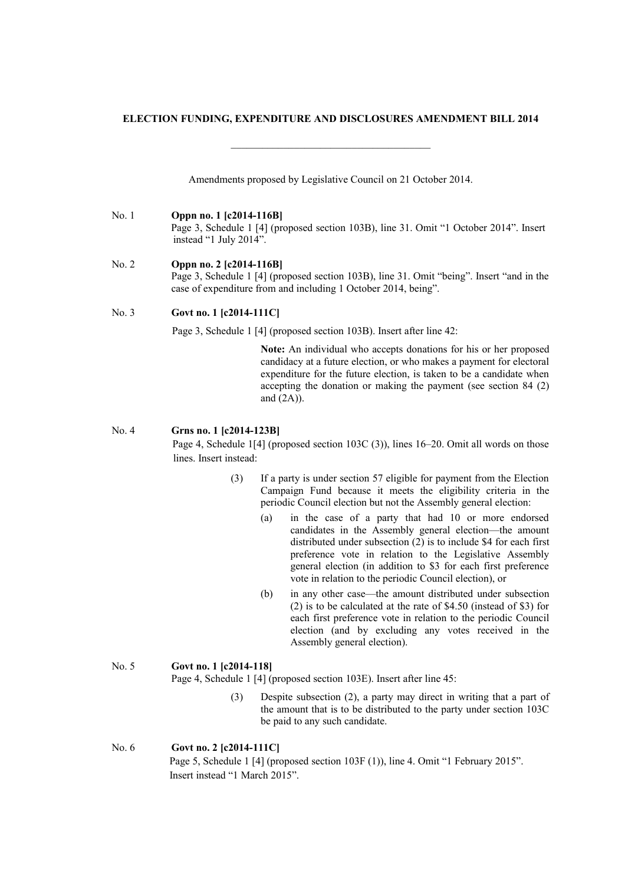#### **ELECTION FUNDING, EXPENDITURE AND DISCLOSURES AMENDMENT BILL 2014**

 $\mathcal{L}_\text{max}$  and  $\mathcal{L}_\text{max}$  and  $\mathcal{L}_\text{max}$  and  $\mathcal{L}_\text{max}$ 

Amendments proposed by Legislative Council on 21 October 2014.

No. 1 **Oppn no. 1 [c2014-116B]** Page 3, Schedule 1 [4] (proposed section 103B), line 31. Omit "1 October 2014". Insert instead "1 July 2014".

#### No. 2 **Oppn no. 2 [c2014-116B]**

Page 3, Schedule 1 [4] (proposed section 103B), line 31. Omit "being". Insert "and in the case of expenditure from and including 1 October 2014, being".

# No. 3 **Govt no. 1 [c2014-111C]**

Page 3, Schedule 1 [4] (proposed section 103B). Insert after line 42:

**Note:** An individual who accepts donations for his or her proposed candidacy at a future election, or who makes a payment for electoral expenditure for the future election, is taken to be a candidate when accepting the donation or making the payment (see section 84 (2) and (2A)).

### No. 4 **Grns no. 1 [c2014-123B]**

 Page 4, Schedule 1[4] (proposed section 103C (3)), lines 16–20. Omit all words on those lines. Insert instead:

- (3) If a party is under section 57 eligible for payment from the Election Campaign Fund because it meets the eligibility criteria in the periodic Council election but not the Assembly general election:
	- (a) in the case of a party that had 10 or more endorsed candidates in the Assembly general election—the amount distributed under subsection (2) is to include \$4 for each first preference vote in relation to the Legislative Assembly general election (in addition to \$3 for each first preference vote in relation to the periodic Council election), or
	- (b) in any other case—the amount distributed under subsection (2) is to be calculated at the rate of \$4.50 (instead of \$3) for each first preference vote in relation to the periodic Council election (and by excluding any votes received in the Assembly general election).

# No. 5 **Govt no. 1 [c2014-118]**

Page 4, Schedule 1 [4] (proposed section 103E). Insert after line 45:

(3) Despite subsection (2), a party may direct in writing that a part of the amount that is to be distributed to the party under section 103C be paid to any such candidate.

# No. 6 **Govt no. 2 [c2014-111C]**

 Page 5, Schedule 1 [4] (proposed section 103F (1)), line 4. Omit "1 February 2015". Insert instead "1 March 2015".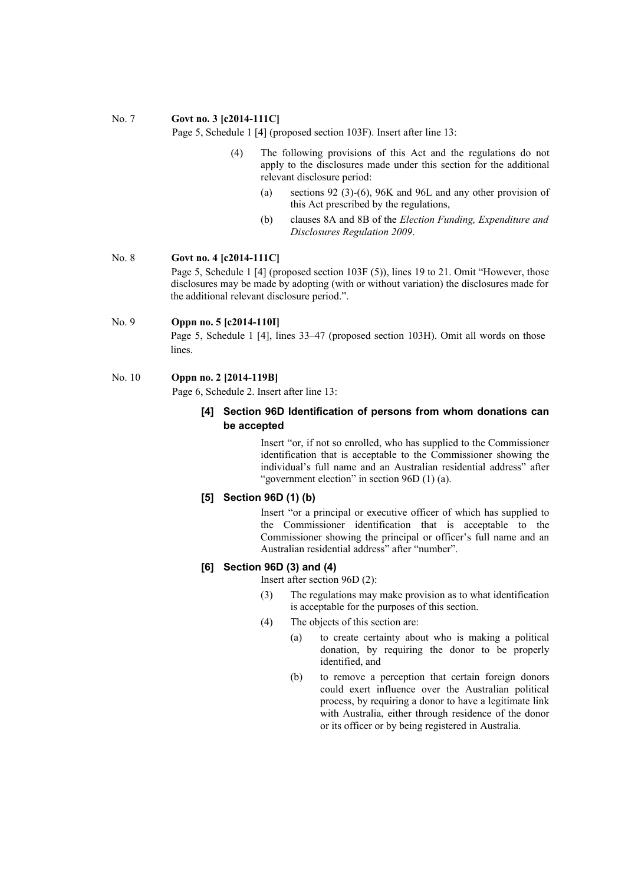#### No. 7 **Govt no. 3 [c2014-111C]**

Page 5, Schedule 1 [4] (proposed section 103F). Insert after line 13:

- (4) The following provisions of this Act and the regulations do not apply to the disclosures made under this section for the additional relevant disclosure period:
	- (a) sections 92 (3)-(6), 96K and 96L and any other provision of this Act prescribed by the regulations,
	- (b) clauses 8A and 8B of the *Election Funding, Expenditure and Disclosures Regulation 2009*.

# No. 8 **Govt no. 4 [c2014-111C]**

Page 5, Schedule 1 [4] (proposed section 103F (5)), lines 19 to 21. Omit "However, those disclosures may be made by adopting (with or without variation) the disclosures made for the additional relevant disclosure period.".

### No. 9 **Oppn no. 5 [c2014-110I]**

 Page 5, Schedule 1 [4], lines 33–47 (proposed section 103H). Omit all words on those lines.

### No. 10 **Oppn no. 2 [2014-119B]**

Page 6, Schedule 2. Insert after line 13:

# **[4] Section 96D Identification of persons from whom donations can be accepted**

Insert "or, if not so enrolled, who has supplied to the Commissioner identification that is acceptable to the Commissioner showing the individual's full name and an Australian residential address" after "government election" in section 96D (1) (a).

#### **[5] Section 96D (1) (b)**

Insert "or a principal or executive officer of which has supplied to the Commissioner identification that is acceptable to the Commissioner showing the principal or officer's full name and an Australian residential address" after "number".

### **[6] Section 96D (3) and (4)**

Insert after section 96D (2):

- (3) The regulations may make provision as to what identification is acceptable for the purposes of this section.
- (4) The objects of this section are:
	- (a) to create certainty about who is making a political donation, by requiring the donor to be properly identified, and
	- (b) to remove a perception that certain foreign donors could exert influence over the Australian political process, by requiring a donor to have a legitimate link with Australia, either through residence of the donor or its officer or by being registered in Australia.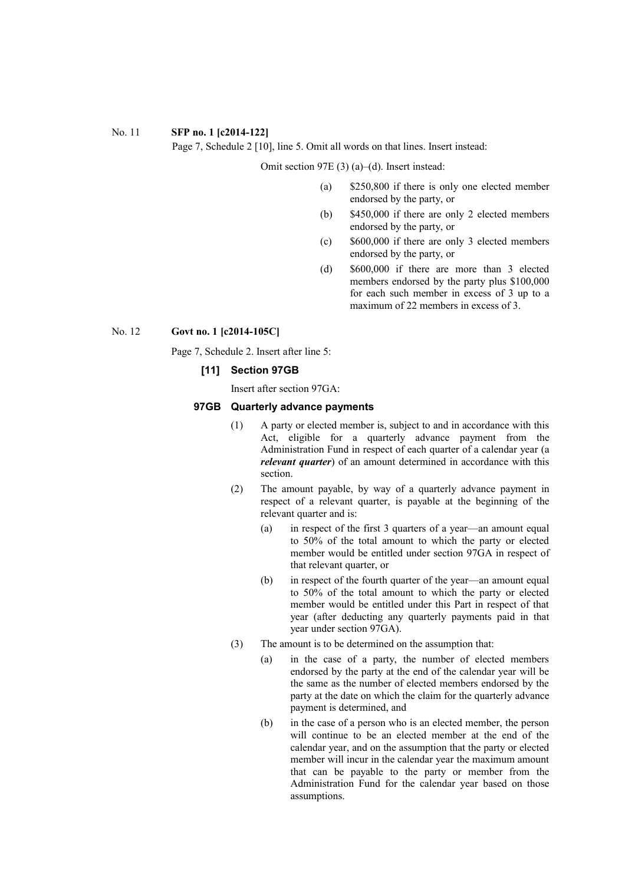#### No. 11 **SFP no. 1 [c2014-122]**

Page 7, Schedule 2 [10], line 5, Omit all words on that lines. Insert instead:

Omit section 97E (3) (a)–(d). Insert instead:

- (a) \$250,800 if there is only one elected member endorsed by the party, or
- (b) \$450,000 if there are only 2 elected members endorsed by the party, or
- (c) \$600,000 if there are only 3 elected members endorsed by the party, or
- (d) \$600,000 if there are more than 3 elected members endorsed by the party plus \$100,000 for each such member in excess of 3 up to a maximum of 22 members in excess of 3.

### No. 12 **Govt no. 1 [c2014-105C]**

Page 7, Schedule 2. Insert after line 5:

# **[11] Section 97GB**

Insert after section 97GA:

### **97GB Quarterly advance payments**

- (1) A party or elected member is, subject to and in accordance with this Act, eligible for a quarterly advance payment from the Administration Fund in respect of each quarter of a calendar year (a *relevant quarter*) of an amount determined in accordance with this section.
- (2) The amount payable, by way of a quarterly advance payment in respect of a relevant quarter, is payable at the beginning of the relevant quarter and is:
	- (a) in respect of the first 3 quarters of a year—an amount equal to 50% of the total amount to which the party or elected member would be entitled under section 97GA in respect of that relevant quarter, or
	- (b) in respect of the fourth quarter of the year—an amount equal to 50% of the total amount to which the party or elected member would be entitled under this Part in respect of that year (after deducting any quarterly payments paid in that year under section 97GA).
- (3) The amount is to be determined on the assumption that:
	- (a) in the case of a party, the number of elected members endorsed by the party at the end of the calendar year will be the same as the number of elected members endorsed by the party at the date on which the claim for the quarterly advance payment is determined, and
	- (b) in the case of a person who is an elected member, the person will continue to be an elected member at the end of the calendar year, and on the assumption that the party or elected member will incur in the calendar year the maximum amount that can be payable to the party or member from the Administration Fund for the calendar year based on those assumptions.